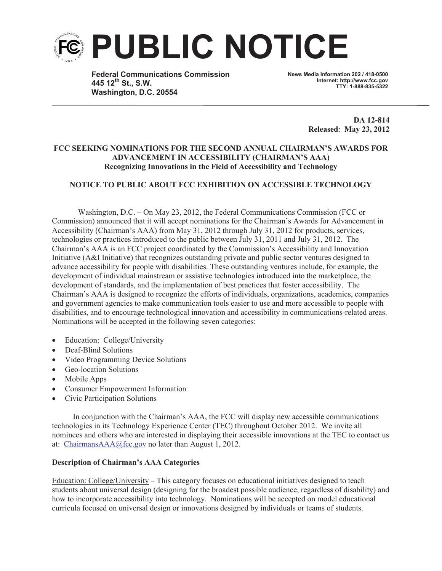

**Federal Communications Commission 445 12th St., S.W. Washington, D.C. 20554**

**News Media Information 202 / 418-0500 Internet: http://www.fcc.gov TTY: 1-888-835-5322**

> **DA 12-814 Released**: **May 23, 2012**

## **FCC SEEKING NOMINATIONS FOR THE SECOND ANNUAL CHAIRMAN'S AWARDS FOR ADVANCEMENT IN ACCESSIBILITY (CHAIRMAN'S AAA) Recognizing Innovations in the Field of Accessibility and Technology**

## **NOTICE TO PUBLIC ABOUT FCC EXHIBITION ON ACCESSIBLE TECHNOLOGY**

Washington, D.C. – On May 23, 2012, the Federal Communications Commission (FCC or Commission) announced that it will accept nominations for the Chairman's Awards for Advancement in Accessibility (Chairman's AAA) from May 31, 2012 through July 31, 2012 for products, services, technologies or practices introduced to the public between July 31, 2011 and July 31, 2012. The Chairman's AAA is an FCC project coordinated by the Commission's Accessibility and Innovation Initiative (A&I Initiative) that recognizes outstanding private and public sector ventures designed to advance accessibility for people with disabilities. These outstanding ventures include, for example, the development of individual mainstream or assistive technologies introduced into the marketplace, the development of standards, and the implementation of best practices that foster accessibility. The Chairman's AAA is designed to recognize the efforts of individuals, organizations, academics, companies and government agencies to make communication tools easier to use and more accessible to people with disabilities, and to encourage technological innovation and accessibility in communications-related areas. Nominations will be accepted in the following seven categories:

- Education: College/University
- Deaf-Blind Solutions
- Video Programming Device Solutions
- · Geo-location Solutions
- Mobile Apps
- · Consumer Empowerment Information
- · Civic Participation Solutions

In conjunction with the Chairman's AAA, the FCC will display new accessible communications technologies in its Technology Experience Center (TEC) throughout October 2012. We invite all nominees and others who are interested in displaying their accessible innovations at the TEC to contact us at: ChairmansAAA@fcc.gov no later than August 1, 2012.

## **Description of Chairman's AAA Categories**

Education: College/University – This category focuses on educational initiatives designed to teach students about universal design (designing for the broadest possible audience, regardless of disability) and how to incorporate accessibility into technology. Nominations will be accepted on model educational curricula focused on universal design or innovations designed by individuals or teams of students.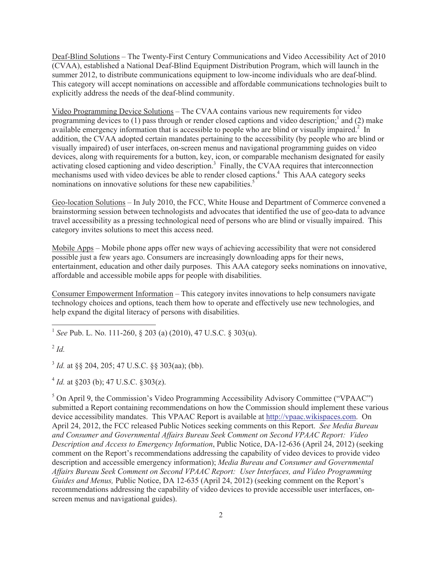Deaf-Blind Solutions – The Twenty-First Century Communications and Video Accessibility Act of 2010 (CVAA), established a National Deaf-Blind Equipment Distribution Program, which will launch in the summer 2012, to distribute communications equipment to low-income individuals who are deaf-blind. This category will accept nominations on accessible and affordable communications technologies built to explicitly address the needs of the deaf-blind community.

Video Programming Device Solutions – The CVAA contains various new requirements for video programming devices to  $(1)$  pass through or render closed captions and video description;<sup>1</sup> and  $(2)$  make available emergency information that is accessible to people who are blind or visually impaired.<sup>2</sup> In addition, the CVAA adopted certain mandates pertaining to the accessibility (by people who are blind or visually impaired) of user interfaces, on-screen menus and navigational programming guides on video devices, along with requirements for a button, key, icon, or comparable mechanism designated for easily activating closed captioning and video description.<sup>3</sup> Finally, the CVAA requires that interconnection mechanisms used with video devices be able to render closed captions.<sup>4</sup> This AAA category seeks nominations on innovative solutions for these new capabilities.<sup>5</sup>

Geo-location Solutions – In July 2010, the FCC, White House and Department of Commerce convened a brainstorming session between technologists and advocates that identified the use of geo-data to advance travel accessibility as a pressing technological need of persons who are blind or visually impaired. This category invites solutions to meet this access need.

Mobile Apps – Mobile phone apps offer new ways of achieving accessibility that were not considered possible just a few years ago. Consumers are increasingly downloading apps for their news, entertainment, education and other daily purposes. This AAA category seeks nominations on innovative, affordable and accessible mobile apps for people with disabilities.

Consumer Empowerment Information – This category invites innovations to help consumers navigate technology choices and options, teach them how to operate and effectively use new technologies, and help expand the digital literacy of persons with disabilities.

1 *See* Pub. L. No. 111-260, § 203 (a) (2010), 47 U.S.C. § 303(u).

3 *Id.* at §§ 204, 205; 47 U.S.C. §§ 303(aa); (bb).

 $4$  *Id.* at §203 (b); 47 U.S.C. §303(z).

 $5$  On April 9, the Commission's Video Programming Accessibility Advisory Committee ("VPAAC") submitted a Report containing recommendations on how the Commission should implement these various device accessibility mandates. This VPAAC Report is available at http://vpaac.wikispaces.com. On April 24, 2012, the FCC released Public Notices seeking comments on this Report. *See Media Bureau and Consumer and Governmental Affairs Bureau Seek Comment on Second VPAAC Report: Video Description and Access to Emergency Information*, Public Notice, DA-12-636 (April 24, 2012) (seeking comment on the Report's recommendations addressing the capability of video devices to provide video description and accessible emergency information); *Media Bureau and Consumer and Governmental Affairs Bureau Seek Comment on Second VPAAC Report: User Interfaces, and Video Programming Guides and Menus,* Public Notice, DA 12-635 (April 24, 2012) (seeking comment on the Report's recommendations addressing the capability of video devices to provide accessible user interfaces, onscreen menus and navigational guides).

<sup>2</sup> *Id.*